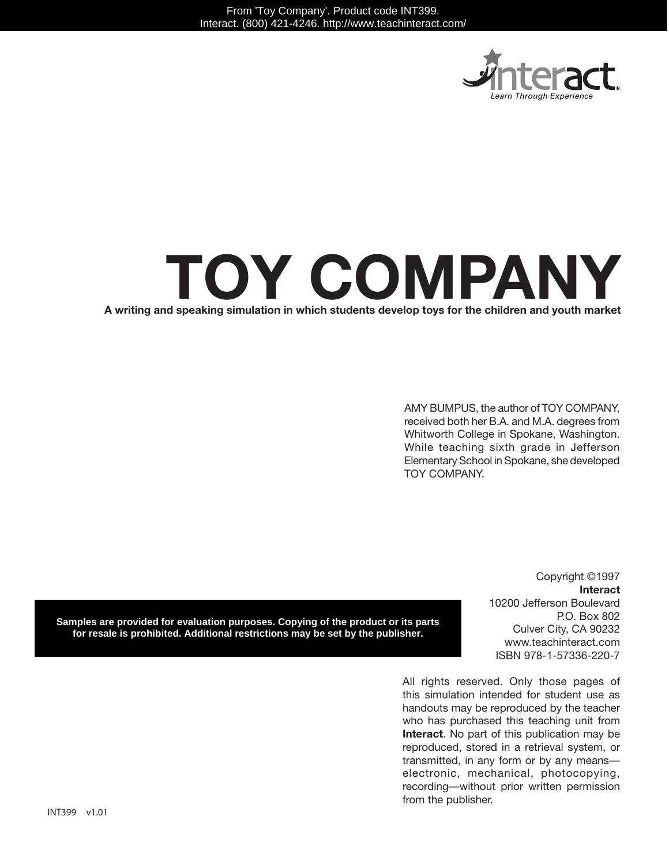

# **A writing and speaking simulation in which students develop toys for the children and youth market Toy company**

AMY BUMPUS, the author of TOY COMPANY, received both her B.A. and M.A. degrees from Whitworth College in Spokane, Washington. While teaching sixth grade in Jefferson Elementary School in Spokane, she developed TOY COMPANY.

**Samples are provided for evaluation purposes. Copying of the product or its parts for resale is prohibited. Additional restrictions may be set by the publisher.**

Copyright ©1997 **Interact** 10200 Jefferson Boulevard P.O. Box 802 Culver City, CA 90232 www.teachinteract.com ISBN 978-1-57336-220-7

All rights reserved. Only those pages of this simulation intended for student use as handouts may be reproduced by the teacher who has purchased this teaching unit from **Interact**. No part of this publication may be reproduced, stored in a retrieval system, or transmitted, in any form or by any means electronic, mechanical, photocopying, recording—without prior written permission from the publisher.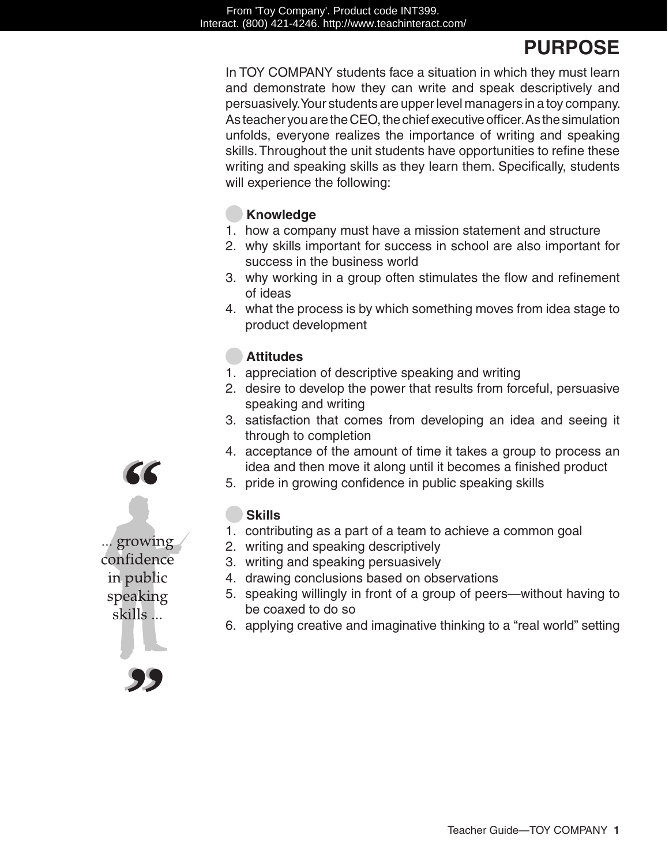## **PURPOSE**

In Toy Company students face a situation in which they must learn and demonstrate how they can write and speak descriptively and persuasively. Your students are upper level managers in a toy company. As teacher you are the CEO, the chief executive officer. As the simulation unfolds, everyone realizes the importance of writing and speaking skills. Throughout the unit students have opportunities to refine these writing and speaking skills as they learn them. Specifically, students will experience the following:

#### **Knowledge**

- 1. how a company must have a mission statement and structure
- 2. why skills important for success in school are also important for success in the business world
- 3. why working in a group often stimulates the flow and refinement of ideas
- 4. what the process is by which something moves from idea stage to product development

### **Attitudes**

- 1. appreciation of descriptive speaking and writing
- 2. desire to develop the power that results from forceful, persuasive speaking and writing
- 3. satisfaction that comes from developing an idea and seeing it through to completion
- 4. acceptance of the amount of time it takes a group to process an idea and then move it along until it becomes a finished product
- 5. pride in growing confidence in public speaking skills

#### **Skills**

- 1. contributing as a part of a team to achieve a common goal
- 2. writing and speaking descriptively
- 3. writing and speaking persuasively
- 4. drawing conclusions based on observations
- 5. speaking willingly in front of a group of peers—without having to be coaxed to do so
- 6. applying creative and imaginative thinking to a "real world" setting

... growing confidence in public speaking skills ...

66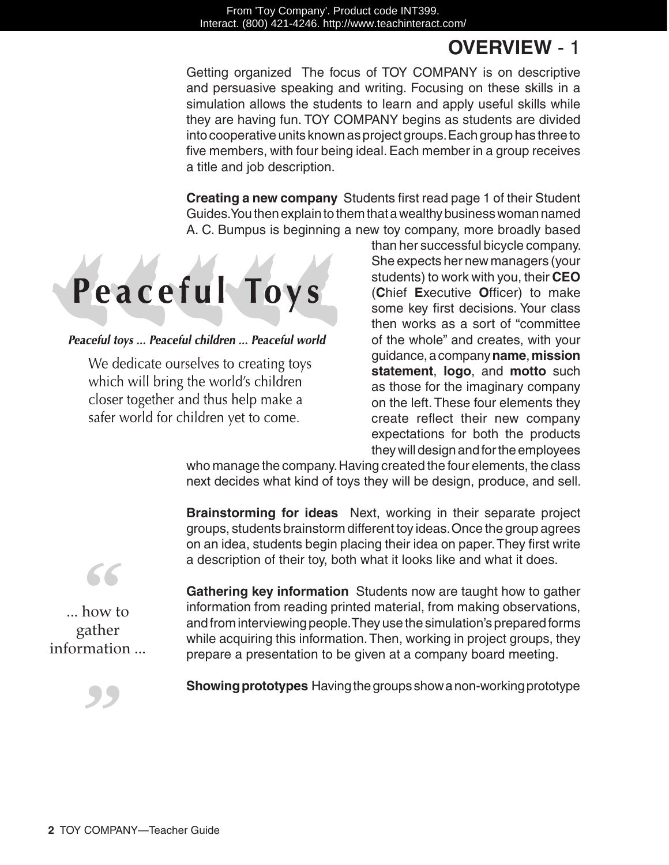## **Overview** - 1

Getting organized The focus of Toy Company is on descriptive and persuasive speaking and writing. Focusing on these skills in a simulation allows the students to learn and apply useful skills while they are having fun. TOY COMPANY begins as students are divided into cooperative units known as project groups. Each group has three to five members, with four being ideal. Each member in a group receives a title and job description.

**Creating a new company** Students first read page 1 of their Student Guides. You then explain to them that a wealthy business woman named A. C. Bumpus is beginning a new toy company, more broadly based



#### Peaceful toys ... Peaceful children ... Peaceful world

We dedicate ourselves to creating toys which will bring the world's children closer together and thus help make a safer world for children yet to come.

than her successful bicycle company. She expects her new managers (your students) to work with you, their **CEO**  (**C**hief **E**xecutive **O**fficer) to make some key first decisions. Your class then works as a sort of "committee of the whole" and creates, with your guidance, a company **name**, **mission statement**, **logo**, and **motto** such as those for the imaginary company on the left. These four elements they create reflect their new company expectations for both the products they will design and for the employees

who manage the company. Having created the four elements, the class next decides what kind of toys they will be design, produce, and sell.

**Brainstorming for ideas** Next, working in their separate project groups, students brainstorm different toy ideas. Once the group agrees on an idea, students begin placing their idea on paper. They first write a description of their toy, both what it looks like and what it does.

**Gathering key information** Students now are taught how to gather information from reading printed material, from making observations, and from interviewing people. They use the simulation's prepared forms while acquiring this information. Then, working in project groups, they prepare a presentation to be given at a company board meeting.

**Showing prototypes** Having the groups show a non-working prototype



... how to gather information ...

*"*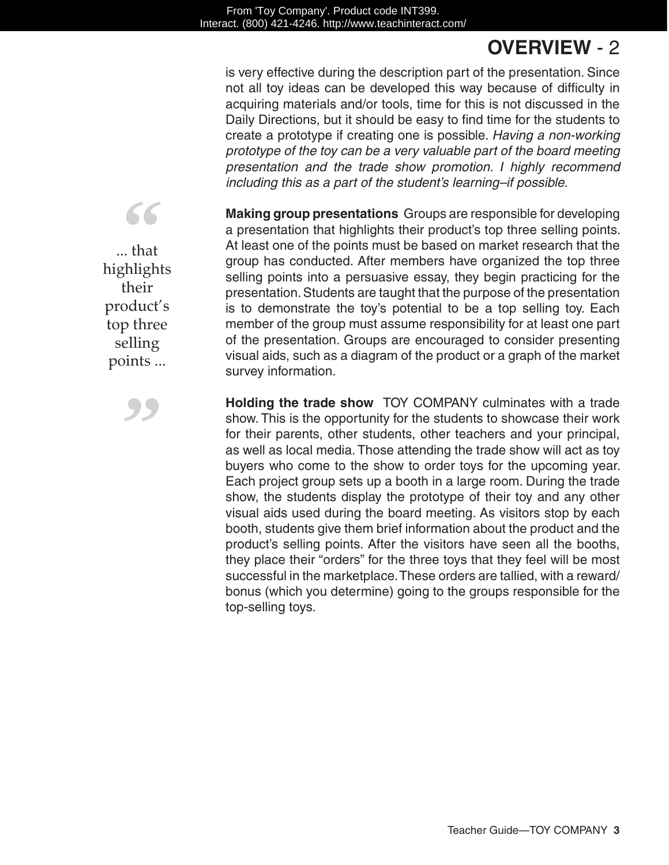## **Overview** - 2

is very effective during the description part of the presentation. Since not all toy ideas can be developed this way because of difficulty in acquiring materials and/or tools, time for this is not discussed in the Daily Directions, but it should be easy to find time for the students to create a prototype if creating one is possible. *Having a non-working prototype of the toy can be a very valuable part of the board meeting presentation and the trade show promotion. I highly recommend including this as a part of the student's learning–if possible.*

**Making group presentations** Groups are responsible for developing a presentation that highlights their product's top three selling points. At least one of the points must be based on market research that the group has conducted. After members have organized the top three selling points into a persuasive essay, they begin practicing for the presentation. Students are taught that the purpose of the presentation is to demonstrate the toy's potential to be a top selling toy. Each member of the group must assume responsibility for at least one part of the presentation. Groups are encouraged to consider presenting visual aids, such as a diagram of the product or a graph of the market survey information.

**Holding the trade show** TOY COMPANY culminates with a trade show. This is the opportunity for the students to showcase their work for their parents, other students, other teachers and your principal, as well as local media. Those attending the trade show will act as toy buyers who come to the show to order toys for the upcoming year. Each project group sets up a booth in a large room. During the trade show, the students display the prototype of their toy and any other visual aids used during the board meeting. As visitors stop by each booth, students give them brief information about the product and the product's selling points. After the visitors have seen all the booths, they place their "orders" for the three toys that they feel will be most successful in the marketplace. These orders are tallied, with a reward/ bonus (which you determine) going to the groups responsible for the top-selling toys.

... that highlights their product's top three selling points ...

*"*

*"*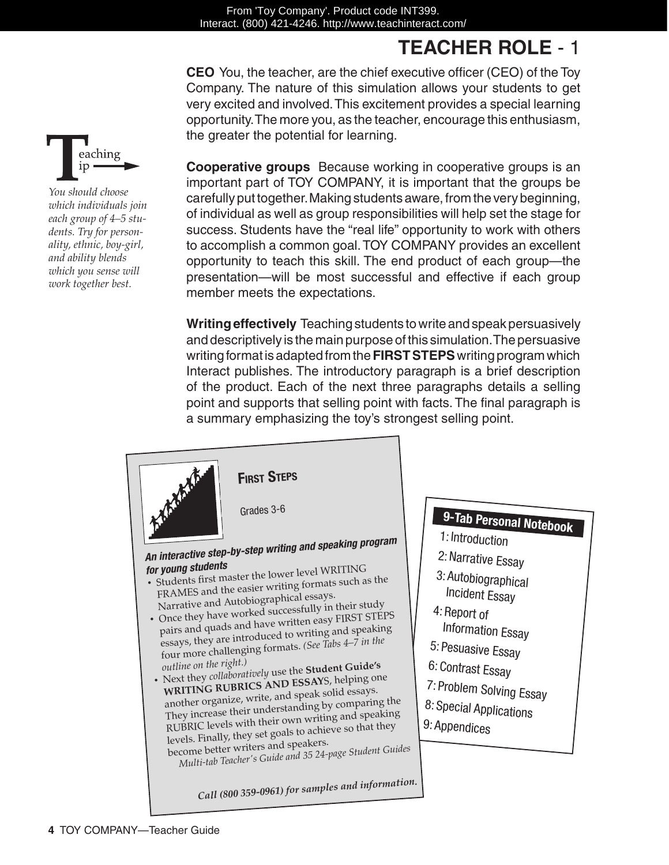# **Teacher Role** - 1

**CEO** You, the teacher, are the chief executive officer (CEO) of the Toy Company. The nature of this simulation allows your students to get very excited and involved. This excitement provides a special learning opportunity. The more you, as the teacher, encourage this enthusiasm, the greater the potential for learning.

**Cooperative groups** Because working in cooperative groups is an important part of TOY COMPANY, it is important that the groups be carefully put together. Making students aware, from the very beginning, of individual as well as group responsibilities will help set the stage for success. Students have the "real life" opportunity to work with others to accomplish a common goal. TOY COMPANY provides an excellent opportunity to teach this skill. The end product of each group—the presentation—will be most successful and effective if each group member meets the expectations.

**Writing effectively** Teaching students to write and speak persuasively and descriptively is the main purpose of this simulation. The persuasive writing format is adapted from the **FIRST STEPS** writing program which Interact publishes. The introductory paragraph is a brief description of the product. Each of the next three paragraphs details a selling point and supports that selling point with facts. The final paragraph is a summary emphasizing the toy's strongest selling point.



**9-Tab Personal Notebook**

1: Introduction

- 2:Narrative Essay
- 3: Autobiographical Incident Essay
- 4: Report of
- Information Essay
- 5: Pesuasive Essay
- 6: Contrast Essay
- 7: Problem Solving Essay
- 8: Special Applications
- 9: Appendices



*You should choose which individuals join each group of 4–5 students. Try for personality, ethnic, boy-girl, and ability blends which you sense will work together best.*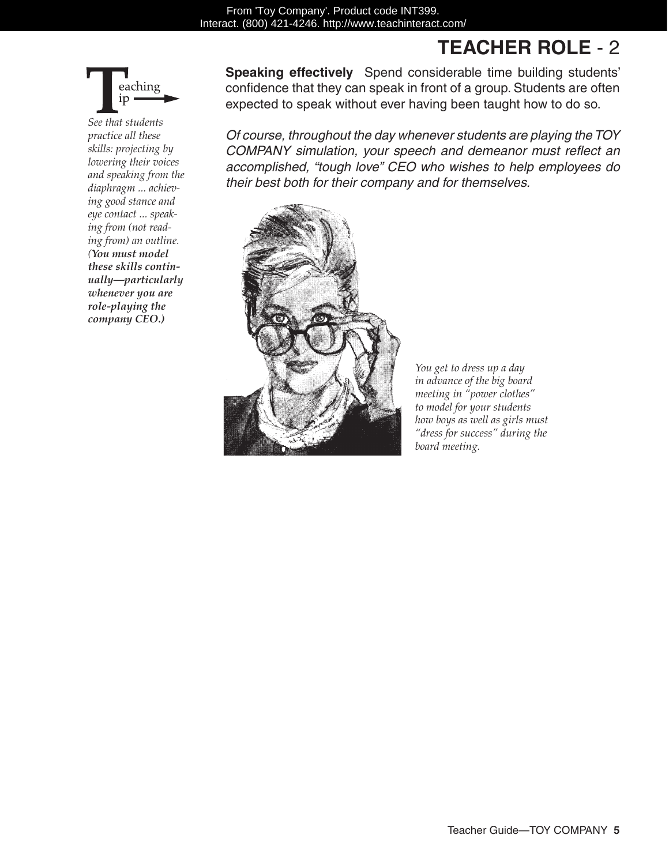## **Teacher Role** - 2



*See that students practice all these skills: projecting by lowering their voices and speaking from the diaphragm ... achieving good stance and eye contact ... speaking from (not reading from) an outline. (You must model these skills continually—particularly whenever you are role-playing the company CEO.)* 

**Speaking effectively** Spend considerable time building students' confidence that they can speak in front of a group. Students are often expected to speak without ever having been taught how to do so.

*Of course, throughout the day whenever students are playing the TOY COMPANY simulation, your speech and demeanor must reflect an accomplished, "tough love" CEO who wishes to help employees do their best both for their company and for themselves.*



*You get to dress up a day in advance of the big board meeting in "power clothes" to model for your students how boys as well as girls must "dress for success" during the board meeting.*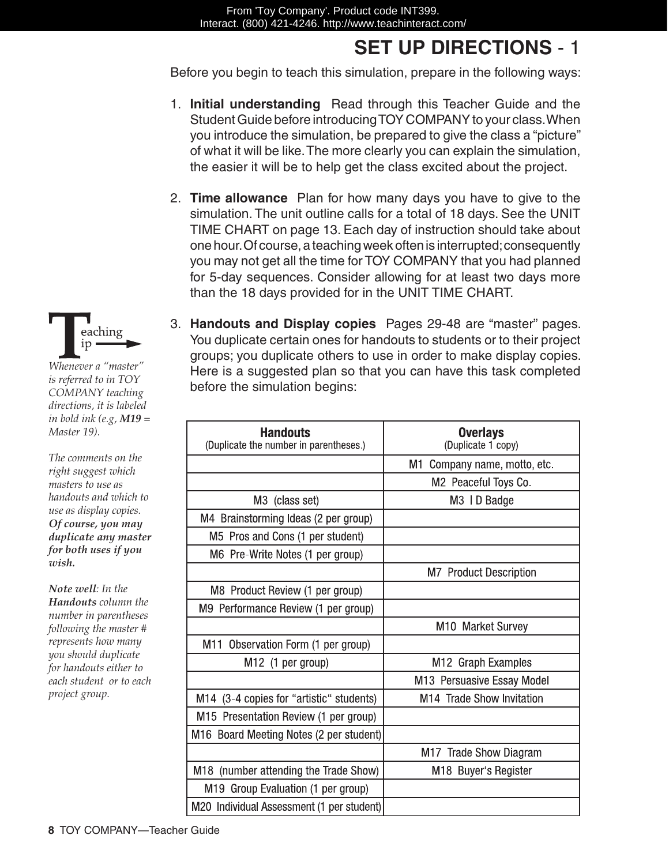# **SET UP DIRECTIONS** - 1

Before you begin to teach this simulation, prepare in the following ways:

- 1. **Initial understanding** Read through this Teacher Guide and the Student Guide before introducing TOY COMPANY to your class. When you introduce the simulation, be prepared to give the class a "picture" of what it will be like. The more clearly you can explain the simulation, the easier it will be to help get the class excited about the project.
- 2. **Time allowance** Plan for how many days you have to give to the simulation. The unit outline calls for a total of 18 days. See the UNIT TIME CHART on page 13. Each day of instruction should take about one hour. Of course, a teaching week often is interrupted; consequently you may not get all the time for TOY COMPANY that you had planned for 5-day sequences. Consider allowing for at least two days more than the 18 days provided for in the UNIT TIME CHART.
- 3. **Handouts and Display copies** Pages 29-48 are "master" pages. You duplicate certain ones for handouts to students or to their project groups; you duplicate others to use in order to make display copies. Here is a suggested plan so that you can have this task completed before the simulation begins:

| <b>Handouts</b><br>(Duplicate the number in parentheses.) | <b>Overlays</b><br>(Duplicate 1 copy) |
|-----------------------------------------------------------|---------------------------------------|
|                                                           | M1<br>Company name, motto, etc.       |
|                                                           | M2 Peaceful Toys Co.                  |
| M3 (class set)                                            | M3 ID Badge                           |
| M4 Brainstorming Ideas (2 per group)                      |                                       |
| M5 Pros and Cons (1 per student)                          |                                       |
| M6 Pre-Write Notes (1 per group)                          |                                       |
|                                                           | <b>M7</b> Product Description         |
| M8 Product Review (1 per group)                           |                                       |
| M9 Performance Review (1 per group)                       |                                       |
|                                                           | M10 Market Survey                     |
| Observation Form (1 per group)<br>M11                     |                                       |
| M <sub>12</sub> (1 per group)                             | M12 Graph Examples                    |
|                                                           | M13 Persuasive Essay Model            |
| M14 (3-4 copies for "artistic" students)                  | M14 Trade Show Invitation             |
| M15 Presentation Review (1 per group)                     |                                       |
| M16 Board Meeting Notes (2 per student)                   |                                       |
|                                                           | M17 Trade Show Diagram                |
| M18 (number attending the Trade Show)                     | M18 Buyer's Register                  |
| M19 Group Evaluation (1 per group)                        |                                       |
| M20 Individual Assessment (1 per student)                 |                                       |



*Whenever a "master" is referred to in TOY COMPANY teaching directions, it is labeled in bold ink (e.g, M19 = Master 19).*

*The comments on the right suggest which masters to use as handouts and which to use as display copies. Of course, you may duplicate any master for both uses if you wish.*

*Note well: In the Handouts column the number in parentheses following the master # represents how many you should duplicate for handouts either to each student or to each project group.*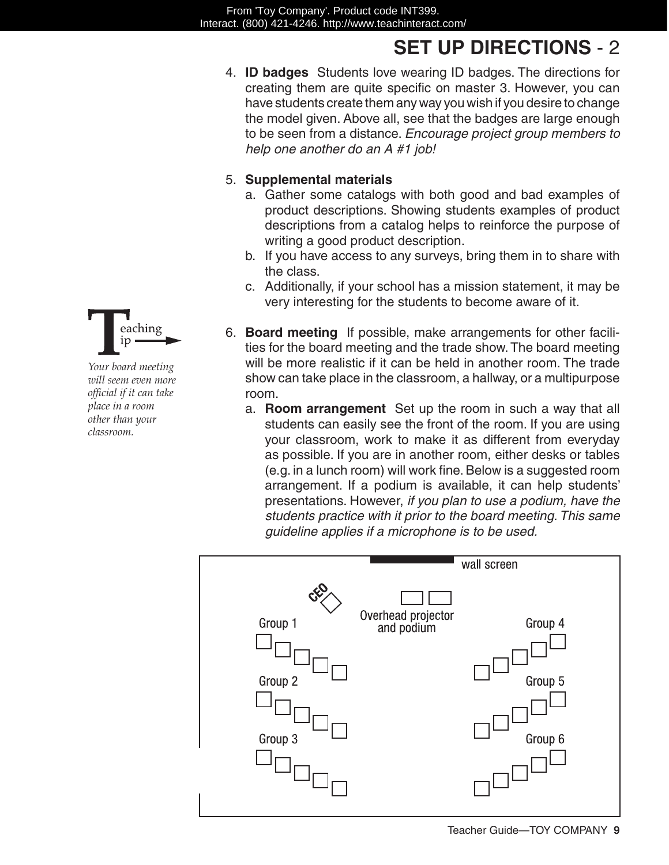## **SET UP DIRECTIONS** - 2

4. **ID badges** Students love wearing ID badges. The directions for creating them are quite specific on master 3. However, you can have students create them any way you wish if you desire to change the model given. Above all, see that the badges are large enough to be seen from a distance. *Encourage project group members to help one another do an A #1 job!*

#### 5. **Supplemental materials**

- a. Gather some catalogs with both good and bad examples of product descriptions. Showing students examples of product descriptions from a catalog helps to reinforce the purpose of writing a good product description.
- b. If you have access to any surveys, bring them in to share with the class.
- c. Additionally, if your school has a mission statement, it may be very interesting for the students to become aware of it.
- 6. **Board meeting** If possible, make arrangements for other facilities for the board meeting and the trade show. The board meeting will be more realistic if it can be held in another room. The trade show can take place in the classroom, a hallway, or a multipurpose room.
	- a. **Room arrangement** Set up the room in such a way that all students can easily see the front of the room. If you are using your classroom, work to make it as different from everyday as possible. If you are in another room, either desks or tables (e.g. in a lunch room) will work fine. Below is a suggested room arrangement. If a podium is available, it can help students' presentations. However, *if you plan to use a podium, have the students practice with it prior to the board meeting. This same guideline applies if a microphone is to be used.*





*Your board meeting will seem even more official if it can take place in a room other than your classroom.*